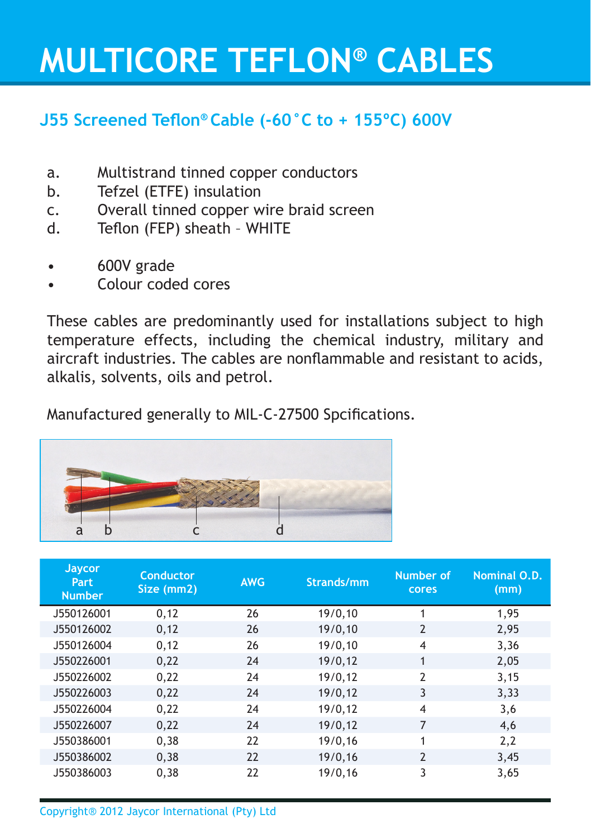## **MULTICORE TEFLON® CABLES**

### **J55 Screened Teflon® Cable (-60°C to + 155ºC) 600V**

- a. Multistrand tinned copper conductors
- b. Tefzel (ETFE) insulation
- c. Overall tinned copper wire braid screen
- d. Teflon (FEP) sheath WHITE
- 600V grade
- Colour coded cores

These cables are predominantly used for installations subject to high temperature effects, including the chemical industry, military and aircraft industries. The cables are nonflammable and resistant to acids, alkalis, solvents, oils and petrol.

Manufactured generally to MIL-C-27500 Spcifications.



| Jaycor<br><b>Part</b><br><b>Number</b> | <b>Conductor</b><br>Size (mm2) | <b>AWG</b> | Strands/mm | Number of<br>cores | Nominal O.D.<br>(mm) |
|----------------------------------------|--------------------------------|------------|------------|--------------------|----------------------|
| J550126001                             | 0,12                           | 26         | 19/0,10    | 1                  | 1,95                 |
| J550126002                             | 0,12                           | 26         | 19/0, 10   | $\overline{2}$     | 2,95                 |
| J550126004                             | 0,12                           | 26         | 19/0, 10   | 4                  | 3,36                 |
| J550226001                             | 0,22                           | 24         | 19/0,12    | $\mathbf{1}$       | 2,05                 |
| J550226002                             | 0,22                           | 24         | 19/0,12    | $\overline{2}$     | 3,15                 |
| J550226003                             | 0,22                           | 24         | 19/0, 12   | 3                  | 3,33                 |
| J550226004                             | 0,22                           | 24         | 19/0, 12   | 4                  | 3,6                  |
| J550226007                             | 0,22                           | 24         | 19/0, 12   | $\overline{7}$     | 4,6                  |
| J550386001                             | 0,38                           | 22         | 19/0,16    | 1                  | 2,2                  |
| J550386002                             | 0,38                           | 22         | 19/0,16    | $\overline{2}$     | 3,45                 |
| J550386003                             | 0,38                           | 22         | 19/0,16    | 3                  | 3,65                 |